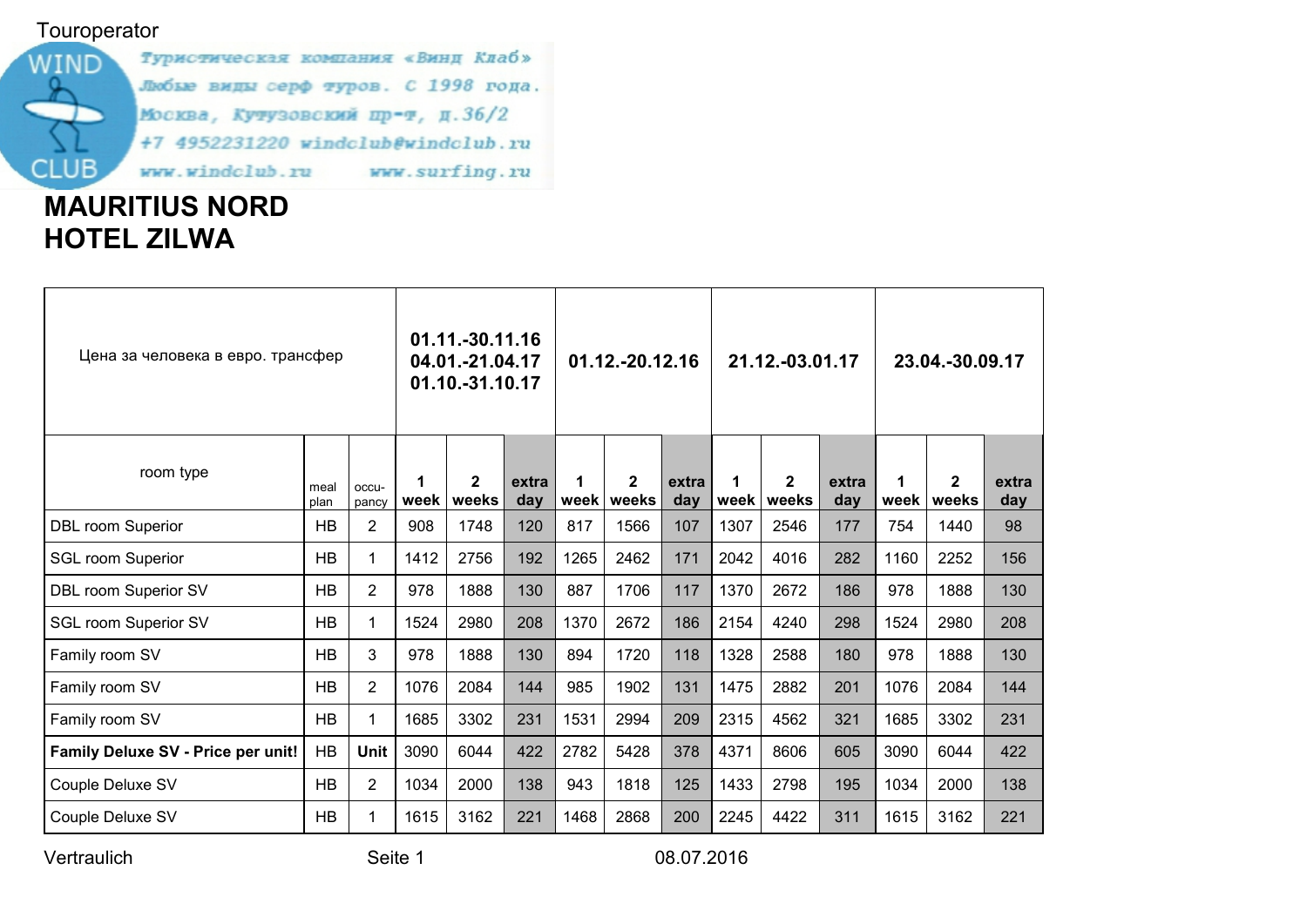## **Touroperator**



# MAURITIUS NORD HOTEL ZILWA

| Цена за человека в евро. трансфер  |              |                | 01.11.-30.11.16<br>04.01.-21.04.17<br>01.10.-31.10.17 |                         |              | 01.12.-20.12.16 |                       |              | 21.12.-03.01.17 |                       |              | 23.04.-30.09.17 |                              |              |
|------------------------------------|--------------|----------------|-------------------------------------------------------|-------------------------|--------------|-----------------|-----------------------|--------------|-----------------|-----------------------|--------------|-----------------|------------------------------|--------------|
| room type                          | meal<br>plan | occu-<br>pancy | 1<br>week                                             | $\overline{2}$<br>weeks | extra<br>day | 1<br>week       | $\mathbf{2}$<br>weeks | extra<br>day | week            | $\mathbf{2}$<br>weeks | extra<br>day |                 | $\mathbf{2}$<br>week   weeks | extra<br>day |
| <b>DBL room Superior</b>           | <b>HB</b>    | $\overline{2}$ | 908                                                   | 1748                    | 120          | 817             | 1566                  | 107          | 1307            | 2546                  | 177          | 754             | 1440                         | 98           |
| <b>SGL room Superior</b>           | <b>HB</b>    | 1              | 1412                                                  | 2756                    | 192          | 1265            | 2462                  | 171          | 2042            | 4016                  | 282          | 1160            | 2252                         | 156          |
| <b>DBL room Superior SV</b>        | HB           | $\overline{2}$ | 978                                                   | 1888                    | 130          | 887             | 1706                  | 117          | 1370            | 2672                  | 186          | 978             | 1888                         | 130          |
| <b>SGL room Superior SV</b>        | <b>HB</b>    | 1              | 1524                                                  | 2980                    | 208          | 1370            | 2672                  | 186          | 2154            | 4240                  | 298          | 1524            | 2980                         | 208          |
| Family room SV                     | HB           | 3              | 978                                                   | 1888                    | 130          | 894             | 1720                  | 118          | 1328            | 2588                  | 180          | 978             | 1888                         | 130          |
| Family room SV                     | HB           | $\overline{2}$ | 1076                                                  | 2084                    | 144          | 985             | 1902                  | 131          | 1475            | 2882                  | 201          | 1076            | 2084                         | 144          |
| Family room SV                     | HB           | $\mathbf 1$    | 1685                                                  | 3302                    | 231          | 1531            | 2994                  | 209          | 2315            | 4562                  | 321          | 1685            | 3302                         | 231          |
| Family Deluxe SV - Price per unit! | HB           | <b>Unit</b>    | 3090                                                  | 6044                    | 422          | 2782            | 5428                  | 378          | 4371            | 8606                  | 605          | 3090            | 6044                         | 422          |
| Couple Deluxe SV                   | <b>HB</b>    | $\overline{2}$ | 1034                                                  | 2000                    | 138          | 943             | 1818                  | 125          | 1433            | 2798                  | 195          | 1034            | 2000                         | 138          |
| Couple Deluxe SV                   | HB           | 1              | 1615                                                  | 3162                    | 221          | 1468            | 2868                  | 200          | 2245            | 4422                  | 311          | 1615            | 3162                         | 221          |

Vertraulich Seite 1 08.07.2016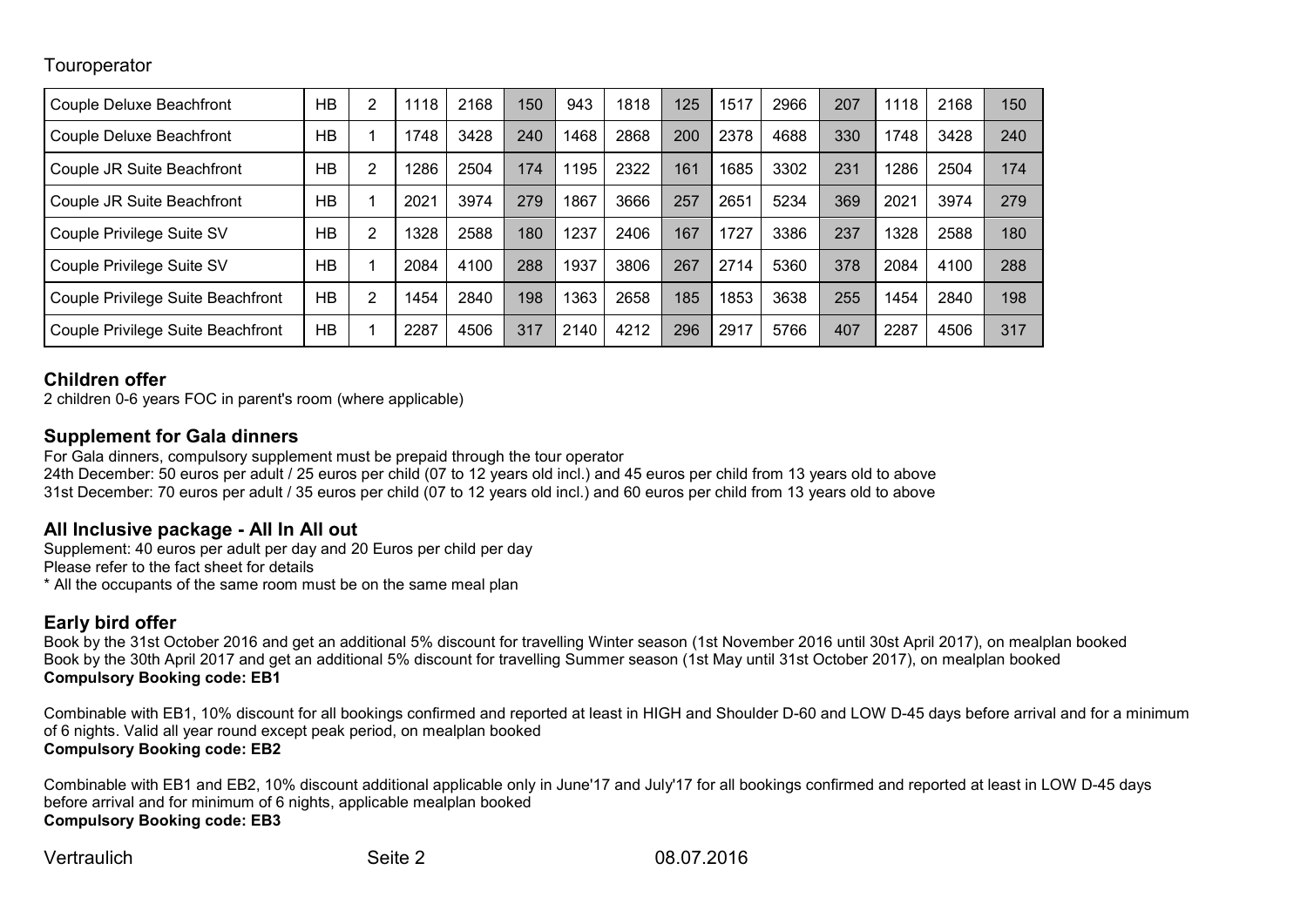#### **Touroperator**

| <b>Couple Deluxe Beachfront</b>   | <b>HB</b> | 2              | 1118 | 2168 | 150 | 943  | 1818 | 125 | 1517 | 2966 | 207 | 1118 | 2168 | 150 |
|-----------------------------------|-----------|----------------|------|------|-----|------|------|-----|------|------|-----|------|------|-----|
| <b>Couple Deluxe Beachfront</b>   | <b>HB</b> |                | 1748 | 3428 | 240 | 1468 | 2868 | 200 | 2378 | 4688 | 330 | 1748 | 3428 | 240 |
| Couple JR Suite Beachfront        | HB        | 2              | 286  | 2504 | 174 | 1195 | 2322 | 161 | 1685 | 3302 | 231 | 1286 | 2504 | 174 |
| Couple JR Suite Beachfront        | HB        |                | 2021 | 3974 | 279 | 1867 | 3666 | 257 | 2651 | 5234 | 369 | 2021 | 3974 | 279 |
| Couple Privilege Suite SV         | HB        | $\overline{2}$ | 1328 | 2588 | 180 | 1237 | 2406 | 167 | 1727 | 3386 | 237 | 1328 | 2588 | 180 |
| Couple Privilege Suite SV         | HB        |                | 2084 | 4100 | 288 | 1937 | 3806 | 267 | 2714 | 5360 | 378 | 2084 | 4100 | 288 |
| Couple Privilege Suite Beachfront | <b>HB</b> | $\overline{2}$ | 1454 | 2840 | 198 | 1363 | 2658 | 185 | 1853 | 3638 | 255 | 1454 | 2840 | 198 |
| Couple Privilege Suite Beachfront | <b>HB</b> |                | 2287 | 4506 | 317 | 2140 | 4212 | 296 | 2917 | 5766 | 407 | 2287 | 4506 | 317 |

#### Children offer

2 children 0-6 years FOC in parent's room (where applicable)

### Supplement for Gala dinners

For Gala dinners, compulsory supplement must be prepaid through the tour operator 24th December: 50 euros per adult / 25 euros per child (07 to 12 years old incl.) and 45 euros per child from 13 years old to above 31st December: 70 euros per adult / 35 euros per child (07 to 12 years old incl.) and 60 euros per child from 13 years old to above

### All Inclusive package - All In All out

Supplement: 40 euros per adult per day and 20 Euros per child per day Please refer to the fact sheet for details

\* All the occupants of the same room must be on the same meal plan

# Early bird offer

Book by the 31st October 2016 and get an additional 5% discount for travelling Winter season (1st November 2016 until 30st April 2017), on mealplan booked Book by the 30th April 2017 and get an additional 5% discount for travelling Summer season (1st May until 31st October 2017), on mealplan booked Compulsory Booking code: EB1

Combinable with EB1, 10% discount for all bookings confirmed and reported at least in HIGH and Shoulder D-60 and LOW D-45 days before arrival and for a minimum of 6 nights. Valid all year round except peak period, on mealplan booked Compulsory Booking code: EB2

Combinable with EB1 and EB2, 10% discount additional applicable only in June'17 and July'17 for all bookings confirmed and reported at least in LOW D-45 days before arrival and for minimum of 6 nights, applicable mealplan booked Compulsory Booking code: EB3